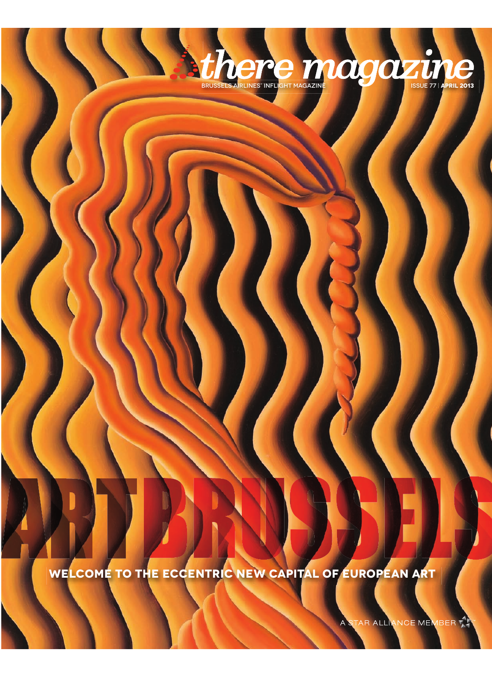**welcome to the eccentric new capital of european art**

TAR ALLIANCE MEMBER

 $\overline{\mathsf{A}}$ 

**bthere** magazine structure